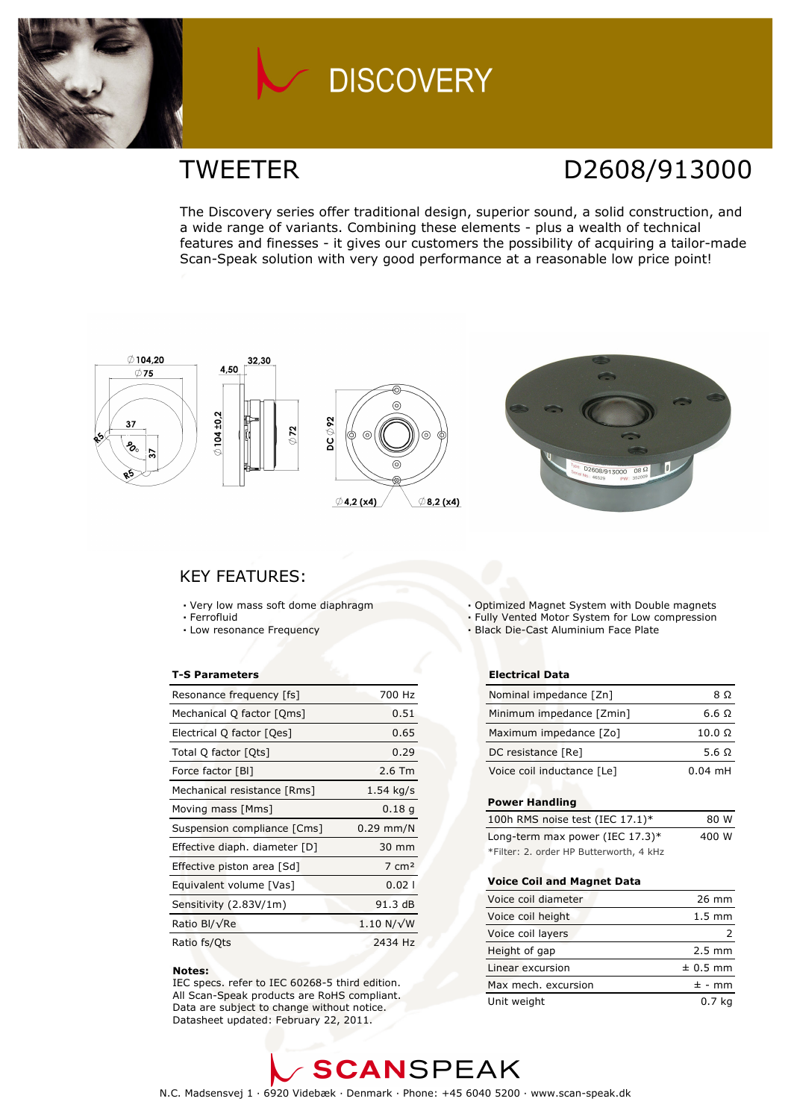

## **DISCOVERY**

## TWEETER D2608/913000

The Discovery series offer traditional design, superior sound, a solid construction, and a wide range of variants. Combining these elements - plus a wealth of technical features and finesses - it gives our customers the possibility of acquiring a tailor-made Scan-Speak solution with very good performance at a reasonable low price point!



### KEY FEATURES:

- Very low mass soft dome diaphragm
- · Ferrofluid
- Low resonance Frequency

#### T-S Parameters

| Resonance frequency [fs]      | 700 Hz            |
|-------------------------------|-------------------|
| Mechanical Q factor [Qms]     | 0.51              |
| Electrical Q factor [Qes]     | 0.65              |
| Total Q factor [Qts]          | 0.29              |
| Force factor [BI]             | $2.6$ Tm          |
| Mechanical resistance [Rms]   | $1.54$ kg/s       |
| Moving mass [Mms]             | 0.18 <sub>q</sub> |
| Suspension compliance [Cms]   | $0.29$ mm/N       |
| Effective diaph. diameter [D] | 30 mm             |
| Effective piston area [Sd]    | $7 \text{ cm}^2$  |
| Equivalent volume [Vas]       | 0.021             |
| Sensitivity (2.83V/1m)        | 91.3 dB           |
| Ratio Bl/√Re                  | $1.10 N/\sqrt{W}$ |
| Ratio fs/Qts                  | 2434 Hz           |

#### Notes:

 IEC specs. refer to IEC 60268-5 third edition. All Scan-Speak products are RoHS compliant. Data are subject to change without notice. Datasheet updated: February 22, 2011.

- Optimized Magnet System with Double magnets
- Fully Vented Motor System for Low compression
- Black Die-Cast Aluminium Face Plate

#### Electrical Data

| Nominal impedance [Zn]     | 8 O           |
|----------------------------|---------------|
| Minimum impedance [Zmin]   | 6.6 Q         |
| Maximum impedance [Zo]     | $10.0 \Omega$ |
| DC resistance [Re]         | 5.6 Q         |
| Voice coil inductance [Le] | $0.04$ mH     |

#### Power Handling

| 100h RMS noise test (IEC 17.1)*         | 80 W  |
|-----------------------------------------|-------|
| Long-term max power (IEC $17.3$ )*      | 400 W |
| *Filter: 2. order HP Butterworth, 4 kHz |       |

### Voice Coil and Magnet Data

| Voice coil diameter | $26 \text{ mm}$  |
|---------------------|------------------|
| Voice coil height   | $1.5 \text{ mm}$ |
| Voice coil layers   |                  |
| Height of gap       | $2.5 \text{ mm}$ |
| Linear excursion    | $± 0.5$ mm       |
| Max mech. excursion | $\pm$ - mm       |
| Unit weight         | 0.7 <sub>k</sub> |